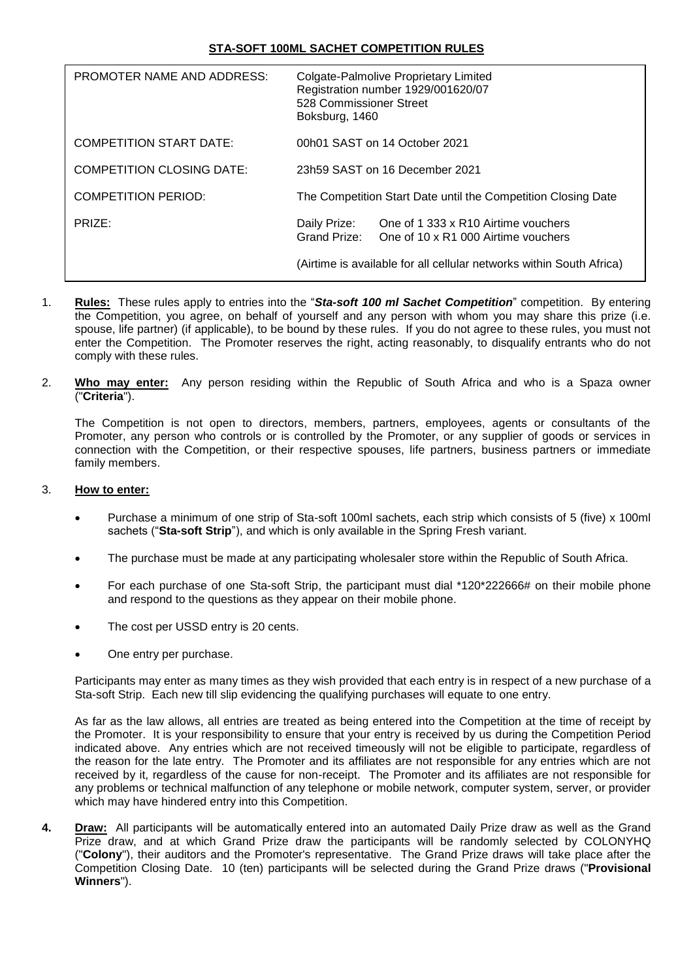| <b>PROMOTER NAME AND ADDRESS:</b> | Colgate-Palmolive Proprietary Limited<br>Registration number 1929/001620/07<br>528 Commissioner Street<br>Boksburg, 1460 |
|-----------------------------------|--------------------------------------------------------------------------------------------------------------------------|
| <b>COMPETITION START DATE:</b>    | 00h01 SAST on 14 October 2021                                                                                            |
| <b>COMPETITION CLOSING DATE:</b>  | 23h59 SAST on 16 December 2021                                                                                           |
| <b>COMPETITION PERIOD:</b>        | The Competition Start Date until the Competition Closing Date                                                            |
| PRIZE:                            | Daily Prize:<br>One of 1 333 x R10 Airtime vouchers<br>Grand Prize:<br>One of 10 x R1 000 Airtime vouchers               |
|                                   | (Airtime is available for all cellular networks within South Africa)                                                     |

- 1. **Rules:** These rules apply to entries into the "*Sta-soft 100 ml Sachet Competition*" competition. By entering the Competition, you agree, on behalf of yourself and any person with whom you may share this prize (i.e. spouse, life partner) (if applicable), to be bound by these rules. If you do not agree to these rules, you must not enter the Competition. The Promoter reserves the right, acting reasonably, to disqualify entrants who do not comply with these rules.
- 2. **Who may enter:** Any person residing within the Republic of South Africa and who is a Spaza owner ("**Criteria**").

The Competition is not open to directors, members, partners, employees, agents or consultants of the Promoter, any person who controls or is controlled by the Promoter, or any supplier of goods or services in connection with the Competition, or their respective spouses, life partners, business partners or immediate family members.

#### 3. **How to enter:**

- Purchase a minimum of one strip of Sta-soft 100ml sachets, each strip which consists of 5 (five) x 100ml sachets ("**Sta-soft Strip**"), and which is only available in the Spring Fresh variant.
- The purchase must be made at any participating wholesaler store within the Republic of South Africa.
- For each purchase of one Sta-soft Strip, the participant must dial \*120\*222666# on their mobile phone and respond to the questions as they appear on their mobile phone.
- The cost per USSD entry is 20 cents.
- One entry per purchase.

Participants may enter as many times as they wish provided that each entry is in respect of a new purchase of a Sta-soft Strip. Each new till slip evidencing the qualifying purchases will equate to one entry.

As far as the law allows, all entries are treated as being entered into the Competition at the time of receipt by the Promoter. It is your responsibility to ensure that your entry is received by us during the Competition Period indicated above. Any entries which are not received timeously will not be eligible to participate, regardless of the reason for the late entry. The Promoter and its affiliates are not responsible for any entries which are not received by it, regardless of the cause for non-receipt. The Promoter and its affiliates are not responsible for any problems or technical malfunction of any telephone or mobile network, computer system, server, or provider which may have hindered entry into this Competition.

**4. Draw:** All participants will be automatically entered into an automated Daily Prize draw as well as the Grand Prize draw, and at which Grand Prize draw the participants will be randomly selected by COLONYHQ ("**Colony**"), their auditors and the Promoter's representative. The Grand Prize draws will take place after the Competition Closing Date. 10 (ten) participants will be selected during the Grand Prize draws ("**Provisional Winners**").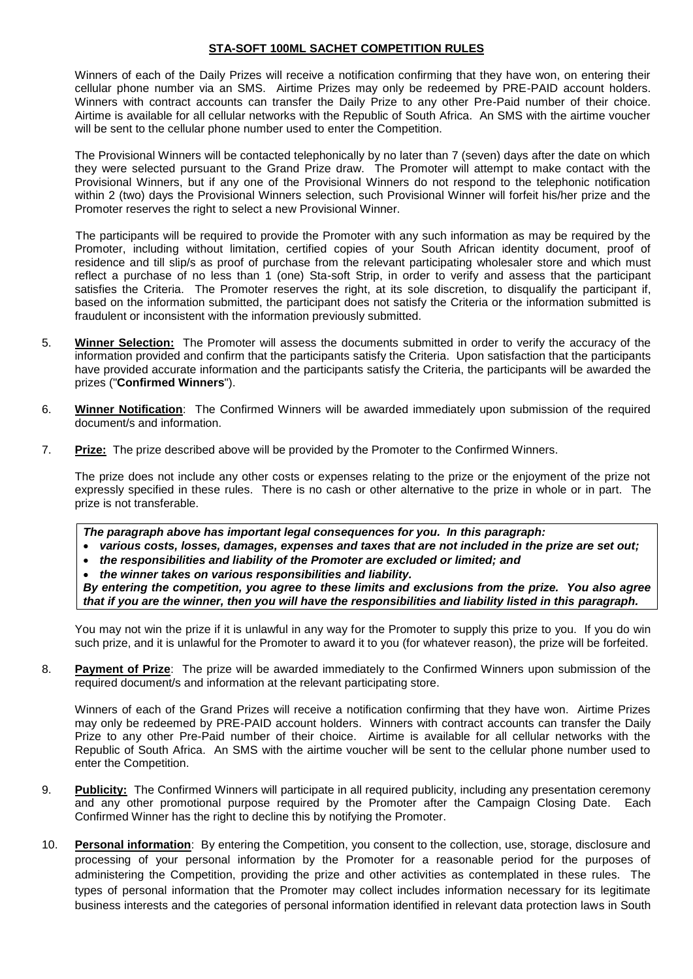Winners of each of the Daily Prizes will receive a notification confirming that they have won, on entering their cellular phone number via an SMS. Airtime Prizes may only be redeemed by PRE-PAID account holders. Winners with contract accounts can transfer the Daily Prize to any other Pre-Paid number of their choice. Airtime is available for all cellular networks with the Republic of South Africa. An SMS with the airtime voucher will be sent to the cellular phone number used to enter the Competition.

The Provisional Winners will be contacted telephonically by no later than 7 (seven) days after the date on which they were selected pursuant to the Grand Prize draw. The Promoter will attempt to make contact with the Provisional Winners, but if any one of the Provisional Winners do not respond to the telephonic notification within 2 (two) days the Provisional Winners selection, such Provisional Winner will forfeit his/her prize and the Promoter reserves the right to select a new Provisional Winner.

The participants will be required to provide the Promoter with any such information as may be required by the Promoter, including without limitation, certified copies of your South African identity document, proof of residence and till slip/s as proof of purchase from the relevant participating wholesaler store and which must reflect a purchase of no less than 1 (one) Sta-soft Strip, in order to verify and assess that the participant satisfies the Criteria. The Promoter reserves the right, at its sole discretion, to disqualify the participant if, based on the information submitted, the participant does not satisfy the Criteria or the information submitted is fraudulent or inconsistent with the information previously submitted.

- 5. **Winner Selection:** The Promoter will assess the documents submitted in order to verify the accuracy of the information provided and confirm that the participants satisfy the Criteria. Upon satisfaction that the participants have provided accurate information and the participants satisfy the Criteria, the participants will be awarded the prizes ("**Confirmed Winners**").
- 6. **Winner Notification**: The Confirmed Winners will be awarded immediately upon submission of the required document/s and information.
- 7. **Prize:** The prize described above will be provided by the Promoter to the Confirmed Winners.

The prize does not include any other costs or expenses relating to the prize or the enjoyment of the prize not expressly specified in these rules. There is no cash or other alternative to the prize in whole or in part. The prize is not transferable.

*The paragraph above has important legal consequences for you. In this paragraph:*

- *various costs, losses, damages, expenses and taxes that are not included in the prize are set out;*
- *the responsibilities and liability of the Promoter are excluded or limited; and*

*the winner takes on various responsibilities and liability.*

*By entering the competition, you agree to these limits and exclusions from the prize. You also agree that if you are the winner, then you will have the responsibilities and liability listed in this paragraph.*

You may not win the prize if it is unlawful in any way for the Promoter to supply this prize to you. If you do win such prize, and it is unlawful for the Promoter to award it to you (for whatever reason), the prize will be forfeited.

8. **Payment of Prize**: The prize will be awarded immediately to the Confirmed Winners upon submission of the required document/s and information at the relevant participating store.

Winners of each of the Grand Prizes will receive a notification confirming that they have won. Airtime Prizes may only be redeemed by PRE-PAID account holders. Winners with contract accounts can transfer the Daily Prize to any other Pre-Paid number of their choice. Airtime is available for all cellular networks with the Republic of South Africa. An SMS with the airtime voucher will be sent to the cellular phone number used to enter the Competition.

- 9. **Publicity:** The Confirmed Winners will participate in all required publicity, including any presentation ceremony and any other promotional purpose required by the Promoter after the Campaign Closing Date. Each Confirmed Winner has the right to decline this by notifying the Promoter.
- 10. **Personal information**: By entering the Competition, you consent to the collection, use, storage, disclosure and processing of your personal information by the Promoter for a reasonable period for the purposes of administering the Competition, providing the prize and other activities as contemplated in these rules. The types of personal information that the Promoter may collect includes information necessary for its legitimate business interests and the categories of personal information identified in relevant data protection laws in South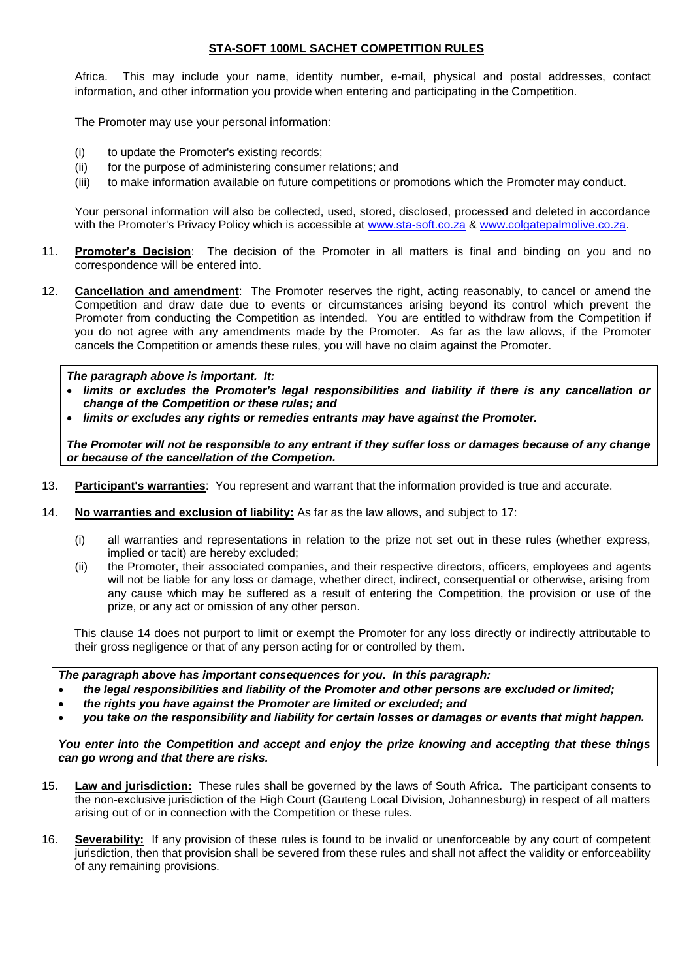Africa. This may include your name, identity number, e-mail, physical and postal addresses, contact information, and other information you provide when entering and participating in the Competition.

The Promoter may use your personal information:

- (i) to update the Promoter's existing records;
- (ii) for the purpose of administering consumer relations; and
- (iii) to make information available on future competitions or promotions which the Promoter may conduct.

Your personal information will also be collected, used, stored, disclosed, processed and deleted in accordance with the Promoter's Privacy Policy which is accessible at [www.sta-soft.co.za](http://www.sta-soft.co.za/) & [www.colgatepalmolive.co.za.](http://www.colgatepalmolive.co.za/)

- 11. **Promoter's Decision**: The decision of the Promoter in all matters is final and binding on you and no correspondence will be entered into.
- 12. **Cancellation and amendment**: The Promoter reserves the right, acting reasonably, to cancel or amend the Competition and draw date due to events or circumstances arising beyond its control which prevent the Promoter from conducting the Competition as intended. You are entitled to withdraw from the Competition if you do not agree with any amendments made by the Promoter. As far as the law allows, if the Promoter cancels the Competition or amends these rules, you will have no claim against the Promoter.

#### *The paragraph above is important. It:*

- *limits or excludes the Promoter's legal responsibilities and liability if there is any cancellation or change of the Competition or these rules; and*
- *limits or excludes any rights or remedies entrants may have against the Promoter.*

*The Promoter will not be responsible to any entrant if they suffer loss or damages because of any change or because of the cancellation of the Competion.*

- 13. **Participant's warranties**: You represent and warrant that the information provided is true and accurate.
- <span id="page-2-0"></span>14. **No warranties and exclusion of liability:** As far as the law allows, and subject to [17:](#page-3-0)
	- (i) all warranties and representations in relation to the prize not set out in these rules (whether express, implied or tacit) are hereby excluded;
	- (ii) the Promoter, their associated companies, and their respective directors, officers, employees and agents will not be liable for any loss or damage, whether direct, indirect, consequential or otherwise, arising from any cause which may be suffered as a result of entering the Competition, the provision or use of the prize, or any act or omission of any other person.

This clause [14](#page-2-0) does not purport to limit or exempt the Promoter for any loss directly or indirectly attributable to their gross negligence or that of any person acting for or controlled by them.

*The paragraph above has important consequences for you. In this paragraph:*

- *the legal responsibilities and liability of the Promoter and other persons are excluded or limited;*
- *the rights you have against the Promoter are limited or excluded; and*
- *you take on the responsibility and liability for certain losses or damages or events that might happen.*

*You enter into the Competition and accept and enjoy the prize knowing and accepting that these things can go wrong and that there are risks.*

- 15. **Law and jurisdiction:** These rules shall be governed by the laws of South Africa. The participant consents to the non-exclusive jurisdiction of the High Court (Gauteng Local Division, Johannesburg) in respect of all matters arising out of or in connection with the Competition or these rules.
- 16. **Severability:** If any provision of these rules is found to be invalid or unenforceable by any court of competent jurisdiction, then that provision shall be severed from these rules and shall not affect the validity or enforceability of any remaining provisions.